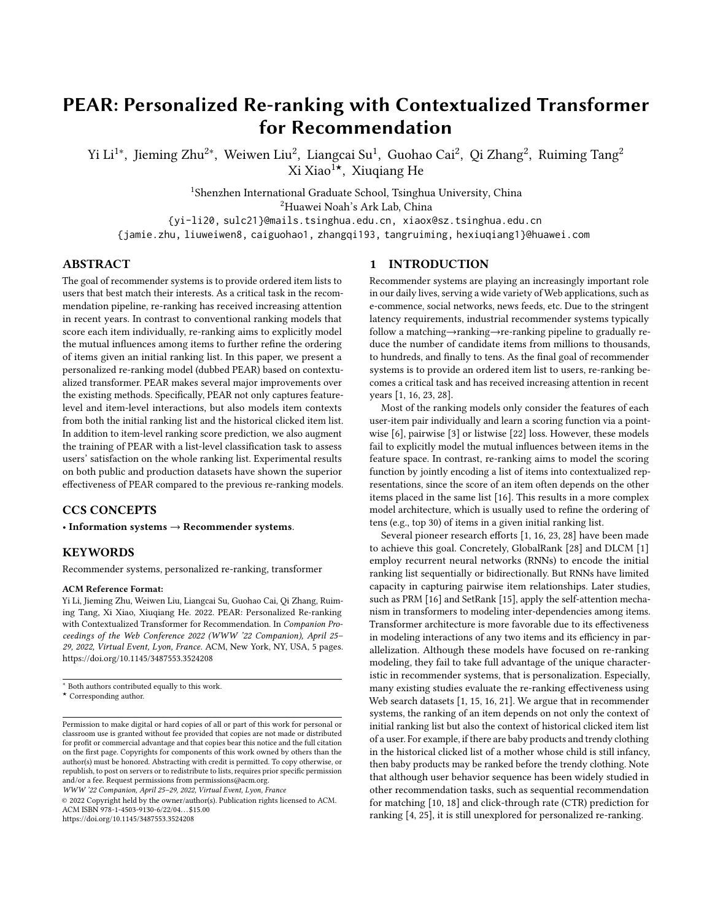# PEAR: Personalized Re-ranking with Contextualized Transformer for Recommendation

Yi Li $^{1*}$ , Jieming Zhu $^{2*}$ , Weiwen Liu $^{2}$ , Liangcai Su $^{1}$ , Guohao Cai $^{2}$ , Qi Zhang $^{2}$ , Ruiming Tang $^{2}$ Xi Xiao1★, Xiuqiang He

<sup>1</sup>Shenzhen International Graduate School, Tsinghua University, China

<sup>2</sup>Huawei Noah's Ark Lab, China

{yi-li20, sulc21}@mails.tsinghua.edu.cn, xiaox@sz.tsinghua.edu.cn

{jamie.zhu, liuweiwen8, caiguohao1, zhangqi193, tangruiming, hexiuqiang1}@huawei.com

# ABSTRACT

The goal of recommender systems is to provide ordered item lists to users that best match their interests. As a critical task in the recommendation pipeline, re-ranking has received increasing attention in recent years. In contrast to conventional ranking models that score each item individually, re-ranking aims to explicitly model the mutual influences among items to further refine the ordering of items given an initial ranking list. In this paper, we present a personalized re-ranking model (dubbed PEAR) based on contextualized transformer. PEAR makes several major improvements over the existing methods. Specifically, PEAR not only captures featurelevel and item-level interactions, but also models item contexts from both the initial ranking list and the historical clicked item list. In addition to item-level ranking score prediction, we also augment the training of PEAR with a list-level classification task to assess users' satisfaction on the whole ranking list. Experimental results on both public and production datasets have shown the superior effectiveness of PEAR compared to the previous re-ranking models.

# CCS CONCEPTS

• Information systems  $\rightarrow$  Recommender systems.

# **KEYWORDS**

Recommender systems, personalized re-ranking, transformer

#### ACM Reference Format:

Yi Li, Jieming Zhu, Weiwen Liu, Liangcai Su, Guohao Cai, Qi Zhang, Ruiming Tang, Xi Xiao, Xiuqiang He. 2022. PEAR: Personalized Re-ranking with Contextualized Transformer for Recommendation. In Companion Proceedings of the Web Conference 2022 (WWW '22 Companion), April 25– 29, 2022, Virtual Event, Lyon, France. ACM, New York, NY, USA, [5](#page-4-0) pages. <https://doi.org/10.1145/3487553.3524208>

WWW '22 Companion, April 25–29, 2022, Virtual Event, Lyon, France

© 2022 Copyright held by the owner/author(s). Publication rights licensed to ACM. ACM ISBN 978-1-4503-9130-6/22/04. . . \$15.00 <https://doi.org/10.1145/3487553.3524208>

#### 1 INTRODUCTION

Recommender systems are playing an increasingly important role in our daily lives, serving a wide variety of Web applications, such as e-commence, social networks, news feeds, etc. Due to the stringent latency requirements, industrial recommender systems typically follow a matching→ranking→re-ranking pipeline to gradually reduce the number of candidate items from millions to thousands, to hundreds, and finally to tens. As the final goal of recommender systems is to provide an ordered item list to users, re-ranking becomes a critical task and has received increasing attention in recent years [\[1,](#page-4-1) [16,](#page-4-2) [23,](#page-4-3) [28\]](#page-4-4).

Most of the ranking models only consider the features of each user-item pair individually and learn a scoring function via a pointwise [\[6\]](#page-4-5), pairwise [\[3\]](#page-4-6) or listwise [\[22\]](#page-4-7) loss. However, these models fail to explicitly model the mutual influences between items in the feature space. In contrast, re-ranking aims to model the scoring function by jointly encoding a list of items into contextualized representations, since the score of an item often depends on the other items placed in the same list [\[16\]](#page-4-2). This results in a more complex model architecture, which is usually used to refine the ordering of tens (e.g., top 30) of items in a given initial ranking list.

Several pioneer research efforts [\[1,](#page-4-1) [16,](#page-4-2) [23,](#page-4-3) [28\]](#page-4-4) have been made to achieve this goal. Concretely, GlobalRank [\[28\]](#page-4-4) and DLCM [\[1\]](#page-4-1) employ recurrent neural networks (RNNs) to encode the initial ranking list sequentially or bidirectionally. But RNNs have limited capacity in capturing pairwise item relationships. Later studies, such as PRM [\[16\]](#page-4-2) and SetRank [\[15\]](#page-4-8), apply the self-attention mechanism in transformers to modeling inter-dependencies among items. Transformer architecture is more favorable due to its effectiveness in modeling interactions of any two items and its efficiency in parallelization. Although these models have focused on re-ranking modeling, they fail to take full advantage of the unique characteristic in recommender systems, that is personalization. Especially, many existing studies evaluate the re-ranking effectiveness using Web search datasets [\[1,](#page-4-1) [15,](#page-4-8) [16,](#page-4-2) [21\]](#page-4-9). We argue that in recommender systems, the ranking of an item depends on not only the context of initial ranking list but also the context of historical clicked item list of a user. For example, if there are baby products and trendy clothing in the historical clicked list of a mother whose child is still infancy, then baby products may be ranked before the trendy clothing. Note that although user behavior sequence has been widely studied in other recommendation tasks, such as sequential recommendation for matching [\[10,](#page-4-10) [18\]](#page-4-11) and click-through rate (CTR) prediction for ranking [\[4,](#page-4-12) [25\]](#page-4-13), it is still unexplored for personalized re-ranking.

<sup>∗</sup> Both authors contributed equally to this work.

<sup>★</sup> Corresponding author.

Permission to make digital or hard copies of all or part of this work for personal or classroom use is granted without fee provided that copies are not made or distributed for profit or commercial advantage and that copies bear this notice and the full citation on the first page. Copyrights for components of this work owned by others than the author(s) must be honored. Abstracting with credit is permitted. To copy otherwise, or republish, to post on servers or to redistribute to lists, requires prior specific permission and/or a fee. Request permissions from permissions@acm.org.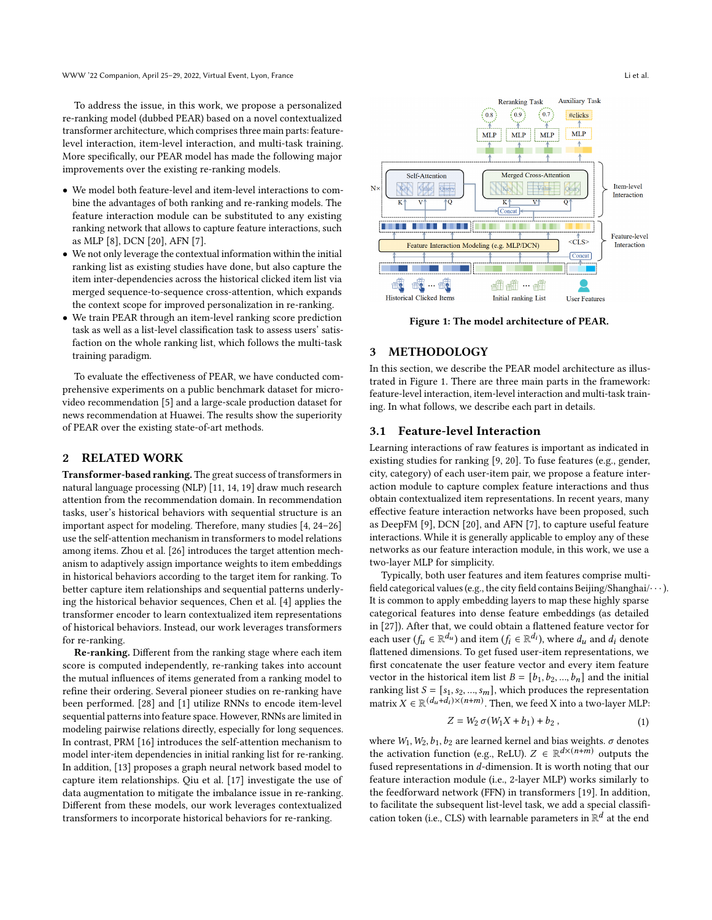To address the issue, in this work, we propose a personalized re-ranking model (dubbed PEAR) based on a novel contextualized transformer architecture, which comprises three main parts: featurelevel interaction, item-level interaction, and multi-task training. More specifically, our PEAR model has made the following major improvements over the existing re-ranking models.

- We model both feature-level and item-level interactions to combine the advantages of both ranking and re-ranking models. The feature interaction module can be substituted to any existing ranking network that allows to capture feature interactions, such as MLP [\[8\]](#page-4-14), DCN [\[20\]](#page-4-15), AFN [\[7\]](#page-4-16).
- We not only leverage the contextual information within the initial ranking list as existing studies have done, but also capture the item inter-dependencies across the historical clicked item list via merged sequence-to-sequence cross-attention, which expands the context scope for improved personalization in re-ranking.
- We train PEAR through an item-level ranking score prediction task as well as a list-level classification task to assess users' satisfaction on the whole ranking list, which follows the multi-task training paradigm.

To evaluate the effectiveness of PEAR, we have conducted comprehensive experiments on a public benchmark dataset for microvideo recommendation [\[5\]](#page-4-17) and a large-scale production dataset for news recommendation at Huawei. The results show the superiority of PEAR over the existing state-of-art methods.

# 2 RELATED WORK

Transformer-based ranking. The great success of transformers in natural language processing (NLP) [\[11,](#page-4-18) [14,](#page-4-19) [19\]](#page-4-20) draw much research attention from the recommendation domain. In recommendation tasks, user's historical behaviors with sequential structure is an important aspect for modeling. Therefore, many studies [\[4,](#page-4-12) [24–](#page-4-21)[26\]](#page-4-22) use the self-attention mechanism in transformers to model relations among items. Zhou et al. [\[26\]](#page-4-22) introduces the target attention mechanism to adaptively assign importance weights to item embeddings in historical behaviors according to the target item for ranking. To better capture item relationships and sequential patterns underlying the historical behavior sequences, Chen et al. [\[4\]](#page-4-12) applies the transformer encoder to learn contextualized item representations of historical behaviors. Instead, our work leverages transformers for re-ranking.

Re-ranking. Different from the ranking stage where each item score is computed independently, re-ranking takes into account the mutual influences of items generated from a ranking model to refine their ordering. Several pioneer studies on re-ranking have been performed. [\[28\]](#page-4-4) and [\[1\]](#page-4-1) utilize RNNs to encode item-level sequential patterns into feature space. However, RNNs are limited in modeling pairwise relations directly, especially for long sequences. In contrast, PRM [\[16\]](#page-4-2) introduces the self-attention mechanism to model inter-item dependencies in initial ranking list for re-ranking. In addition, [\[13\]](#page-4-23) proposes a graph neural network based model to capture item relationships. Qiu et al. [\[17\]](#page-4-24) investigate the use of data augmentation to mitigate the imbalance issue in re-ranking. Different from these models, our work leverages contextualized transformers to incorporate historical behaviors for re-ranking.

<span id="page-1-0"></span>

Figure 1: The model architecture of PEAR.

## 3 METHODOLOGY

In this section, we describe the PEAR model architecture as illustrated in Figure [1.](#page-1-0) There are three main parts in the framework: feature-level interaction, item-level interaction and multi-task training. In what follows, we describe each part in details.

#### 3.1 Feature-level Interaction

Learning interactions of raw features is important as indicated in existing studies for ranking [\[9,](#page-4-25) [20\]](#page-4-15). To fuse features (e.g., gender, city, category) of each user-item pair, we propose a feature interaction module to capture complex feature interactions and thus obtain contextualized item representations. In recent years, many effective feature interaction networks have been proposed, such as DeepFM [\[9\]](#page-4-25), DCN [\[20\]](#page-4-15), and AFN [\[7\]](#page-4-16), to capture useful feature interactions. While it is generally applicable to employ any of these networks as our feature interaction module, in this work, we use a two-layer MLP for simplicity.

Typically, both user features and item features comprise multifield categorical values (e.g., the city field contains Beijing/Shanghai/ $\cdots$ ). It is common to apply embedding layers to map these highly sparse categorical features into dense feature embeddings (as detailed in [\[27\]](#page-4-26)). After that, we could obtain a flattened feature vector for each user  $(f_u \in \mathbb{R}^{d_u})$  and item  $(f_i \in \mathbb{R}^{d_i})$ , where  $d_u$  and  $d_i$  denote flattened dimensions. To get fused user-item representations, we first concatenate the user feature vector and every item feature vector in the historical item list  $B = [b_1, b_2, ..., b_n]$  and the initial ranking list  $S = [s_1, s_2, ..., s_m]$ , which produces the representation matrix  $X \in \mathbb{R}^{(d_u + d_i) \times (n+m)}$ . Then, we feed X into a two-layer MLP:

$$
Z = W_2 \sigma (W_1 X + b_1) + b_2 , \qquad (1)
$$

where  $W_1, W_2, b_1, b_2$  are learned kernel and bias weights.  $\sigma$  denotes the activation function (e.g., ReLU).  $Z \in \mathbb{R}^{d \times (n+m)}$  outputs the fused representations in  $d$ -dimension. It is worth noting that our feature interaction module (i.e., 2-layer MLP) works similarly to the feedforward network (FFN) in transformers [\[19\]](#page-4-20). In addition, to facilitate the subsequent list-level task, we add a special classification token (i.e., CLS) with learnable parameters in  $\mathbb{R}^d$  at the end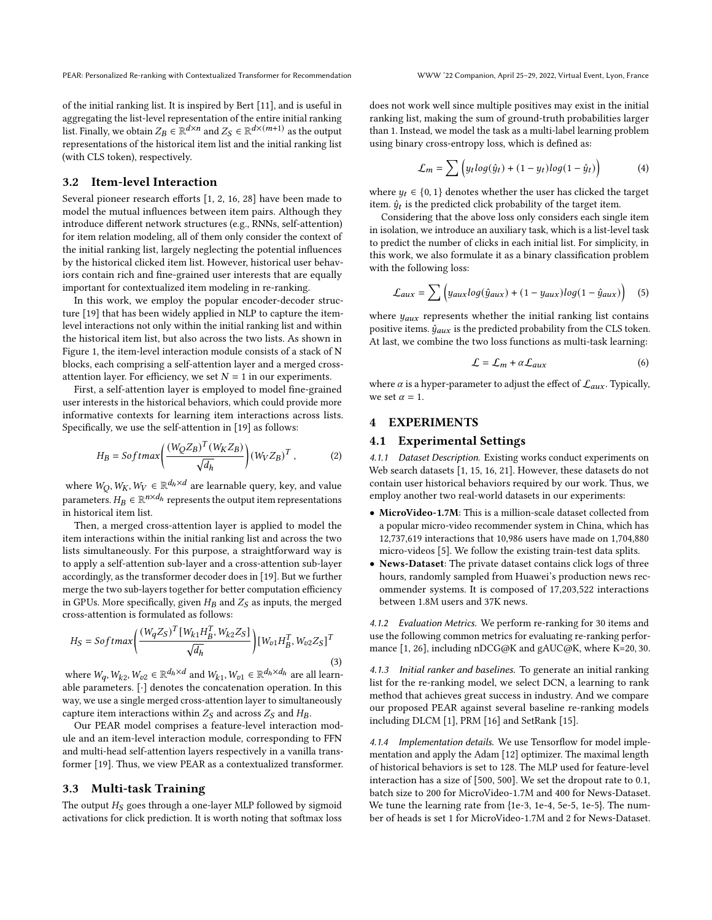of the initial ranking list. It is inspired by Bert [\[11\]](#page-4-18), and is useful in aggregating the list-level representation of the entire initial ranking list. Finally, we obtain  $Z_B \in \mathbb{R}^{d \times n}$  and  $Z_S \in \mathbb{R}^{d \times (m+1)}$  as the output representations of the historical item list and the initial ranking list (with CLS token), respectively.

#### 3.2 Item-level Interaction

Several pioneer research efforts [\[1,](#page-4-1) [2,](#page-4-27) [16,](#page-4-2) [28\]](#page-4-4) have been made to model the mutual influences between item pairs. Although they introduce different network structures (e.g., RNNs, self-attention) for item relation modeling, all of them only consider the context of the initial ranking list, largely neglecting the potential influences by the historical clicked item list. However, historical user behaviors contain rich and fine-grained user interests that are equally important for contextualized item modeling in re-ranking.

In this work, we employ the popular encoder-decoder structure [\[19\]](#page-4-20) that has been widely applied in NLP to capture the itemlevel interactions not only within the initial ranking list and within the historical item list, but also across the two lists. As shown in Figure [1,](#page-1-0) the item-level interaction module consists of a stack of N blocks, each comprising a self-attention layer and a merged crossattention layer. For efficiency, we set  $N = 1$  in our experiments.

First, a self-attention layer is employed to model fine-grained user interests in the historical behaviors, which could provide more informative contexts for learning item interactions across lists. Specifically, we use the self-attention in [\[19\]](#page-4-20) as follows:

$$
H_B = Softmax\left(\frac{(W_Q Z_B)^T (W_K Z_B)}{\sqrt{d_h}}\right) (W_V Z_B)^T, \tag{2}
$$

where  $W_O, W_K, W_V \in \mathbb{R}^{d_h \times d}$  are learnable query, key, and value parameters.  $H_B \in \mathbb{R}^{n \times d_h}$  represents the output item representations in historical item list.

Then, a merged cross-attention layer is applied to model the item interactions within the initial ranking list and across the two lists simultaneously. For this purpose, a straightforward way is to apply a self-attention sub-layer and a cross-attention sub-layer accordingly, as the transformer decoder does in [\[19\]](#page-4-20). But we further merge the two sub-layers together for better computation efficiency in GPUs. More specifically, given  $H_B$  and  $Z_S$  as inputs, the merged cross-attention is formulated as follows:

$$
H_S = Softmax\left(\frac{(W_q Z_S)^T [W_{k1} H_B^T, W_{k2} Z_S]}{\sqrt{d_h}}\right) [W_{v1} H_B^T, W_{v2} Z_S]^T
$$
\n(3)

where  $W_q$ ,  $W_{k2}$ ,  $W_{v2} \in \mathbb{R}^{d_h \times d}$  and  $W_{k1}$ ,  $W_{v1} \in \mathbb{R}^{d_h \times d_h}$  are all learnable parameters. [·] denotes the concatenation operation. In this way, we use a single merged cross-attention layer to simultaneously capture item interactions within  $Z_S$  and across  $Z_S$  and  $H_B$ .

Our PEAR model comprises a feature-level interaction module and an item-level interaction module, corresponding to FFN and multi-head self-attention layers respectively in a vanilla transformer [\[19\]](#page-4-20). Thus, we view PEAR as a contextualized transformer.

# 3.3 Multi-task Training

The output  $H_S$  goes through a one-layer MLP followed by sigmoid activations for click prediction. It is worth noting that softmax loss does not work well since multiple positives may exist in the initial ranking list, making the sum of ground-truth probabilities larger than 1. Instead, we model the task as a multi-label learning problem using binary cross-entropy loss, which is defined as:

$$
\mathcal{L}_m = \sum \left( y_t \log(\hat{y}_t) + (1 - y_t) \log(1 - \hat{y}_t) \right) \tag{4}
$$

where  $y_t \in \{0, 1\}$  denotes whether the user has clicked the target item.  $\hat{y}_t$  is the predicted click probability of the target item.

Considering that the above loss only considers each single item in isolation, we introduce an auxiliary task, which is a list-level task to predict the number of clicks in each initial list. For simplicity, in this work, we also formulate it as a binary classification problem with the following loss:

$$
\mathcal{L}_{aux} = \sum \left( y_{aux} \log(\hat{y}_{aux}) + (1 - y_{aux}) \log(1 - \hat{y}_{aux}) \right) \tag{5}
$$

where  $y_{aux}$  represents whether the initial ranking list contains positive items.  $\hat{y}_{aux}$  is the predicted probability from the CLS token. At last, we combine the two loss functions as multi-task learning:

$$
\mathcal{L} = \mathcal{L}_m + \alpha \mathcal{L}_{aux} \tag{6}
$$

where  $\alpha$  is a hyper-parameter to adjust the effect of  $\mathcal{L}_{aux}$ . Typically, we set  $\alpha = 1$ .

# **EXPERIMENTS**

## 4.1 Experimental Settings

4.1.1 Dataset Description. Existing works conduct experiments on Web search datasets [\[1,](#page-4-1) [15,](#page-4-8) [16,](#page-4-2) [21\]](#page-4-9). However, these datasets do not contain user historical behaviors required by our work. Thus, we employ another two real-world datasets in our experiments:

- MicroVideo-1.7M: This is a million-scale dataset collected from a popular micro-video recommender system in China, which has 12,737,619 interactions that 10,986 users have made on 1,704,880 micro-videos [\[5\]](#page-4-17). We follow the existing train-test data splits.
- News-Dataset: The private dataset contains click logs of three hours, randomly sampled from Huawei's production news recommender systems. It is composed of 17,203,522 interactions between 1.8M users and 37K news.

4.1.2 Evaluation Metrics. We perform re-ranking for 30 items and use the following common metrics for evaluating re-ranking performance [\[1,](#page-4-1) [26\]](#page-4-22), including nDCG@K and gAUC@K, where K=20, 30.

4.1.3 Initial ranker and baselines. To generate an initial ranking list for the re-ranking model, we select DCN, a learning to rank method that achieves great success in industry. And we compare our proposed PEAR against several baseline re-ranking models including DLCM [\[1\]](#page-4-1), PRM [\[16\]](#page-4-2) and SetRank [\[15\]](#page-4-8).

4.1.4 Implementation details. We use Tensorflow for model implementation and apply the Adam [\[12\]](#page-4-28) optimizer. The maximal length of historical behaviors is set to 128. The MLP used for feature-level interaction has a size of [500, 500]. We set the dropout rate to 0.1, batch size to 200 for MicroVideo-1.7M and 400 for News-Dataset. We tune the learning rate from {1e-3, 1e-4, 5e-5, 1e-5}. The number of heads is set 1 for MicroVideo-1.7M and 2 for News-Dataset.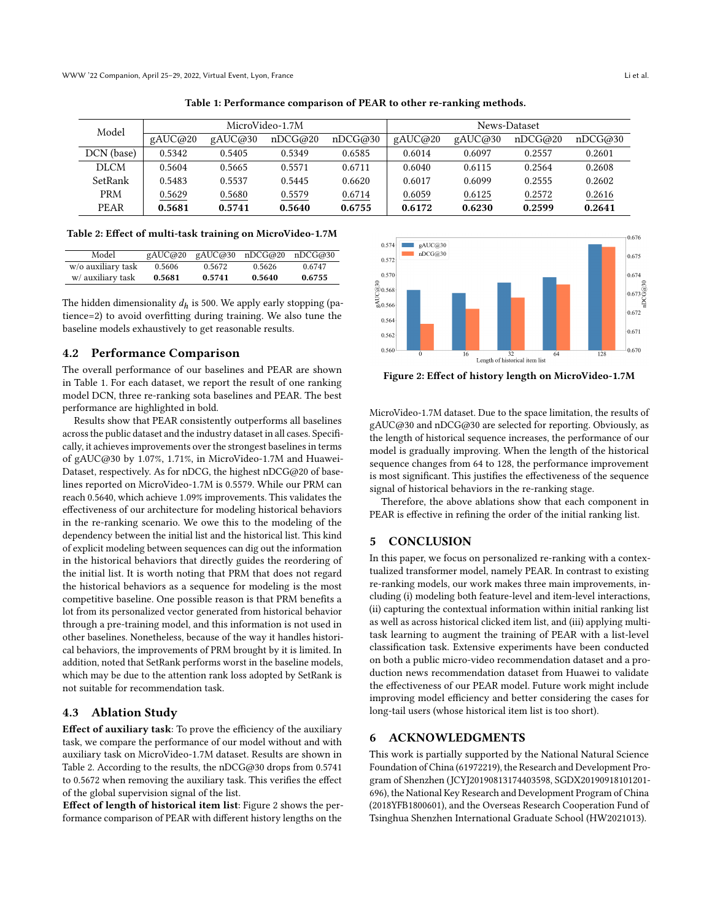<span id="page-3-0"></span>

| Model       | MicroVideo-1.7M |         |         |         | News-Dataset |         |         |         |
|-------------|-----------------|---------|---------|---------|--------------|---------|---------|---------|
|             | gAUC@20         | gAUC@30 | nDCG@20 | nDCG@30 | gAUC@20      | gAUC@30 | nDCG@20 | nDCG@30 |
| DCN (base)  | 0.5342          | 0.5405  | 0.5349  | 0.6585  | 0.6014       | 0.6097  | 0.2557  | 0.2601  |
| <b>DLCM</b> | 0.5604          | 0.5665  | 0.5571  | 0.6711  | 0.6040       | 0.6115  | 0.2564  | 0.2608  |
| SetRank     | 0.5483          | 0.5537  | 0.5445  | 0.6620  | 0.6017       | 0.6099  | 0.2555  | 0.2602  |
| <b>PRM</b>  | 0.5629          | 0.5680  | 0.5579  | 0.6714  | 0.6059       | 0.6125  | 0.2572  | 0.2616  |
| PEAR        | 0.5681          | 0.5741  | 0.5640  | 0.6755  | 0.6172       | 0.6230  | 0.2599  | 0.2641  |

Table 1: Performance comparison of PEAR to other re-ranking methods.

<span id="page-3-1"></span>Table 2: Effect of multi-task training on MicroVideo-1.7M

| Model              |        |        | gAUC@20 gAUC@30 nDCG@20 nDCG@30 |        |
|--------------------|--------|--------|---------------------------------|--------|
| w/o auxiliary task | 0.5606 | 0.5672 | 0.5626                          | 0.6747 |
| w/ auxiliary task  | 0.5681 | 0.5741 | 0.5640                          | 0.6755 |

The hidden dimensionality  $d_h$  is 500. We apply early stopping (patience=2) to avoid overfitting during training. We also tune the baseline models exhaustively to get reasonable results.

#### 4.2 Performance Comparison

The overall performance of our baselines and PEAR are shown in Table [1.](#page-3-0) For each dataset, we report the result of one ranking model DCN, three re-ranking sota baselines and PEAR. The best performance are highlighted in bold.

Results show that PEAR consistently outperforms all baselines across the public dataset and the industry dataset in all cases. Specifically, it achieves improvements over the strongest baselines in terms of gAUC@30 by 1.07%, 1.71%, in MicroVideo-1.7M and Huawei-Dataset, respectively. As for nDCG, the highest nDCG@20 of baselines reported on MicroVideo-1.7M is 0.5579. While our PRM can reach 0.5640, which achieve 1.09% improvements. This validates the effectiveness of our architecture for modeling historical behaviors in the re-ranking scenario. We owe this to the modeling of the dependency between the initial list and the historical list. This kind of explicit modeling between sequences can dig out the information in the historical behaviors that directly guides the reordering of the initial list. It is worth noting that PRM that does not regard the historical behaviors as a sequence for modeling is the most competitive baseline. One possible reason is that PRM benefits a lot from its personalized vector generated from historical behavior through a pre-training model, and this information is not used in other baselines. Nonetheless, because of the way it handles historical behaviors, the improvements of PRM brought by it is limited. In addition, noted that SetRank performs worst in the baseline models, which may be due to the attention rank loss adopted by SetRank is not suitable for recommendation task.

#### 4.3 Ablation Study

Effect of auxiliary task: To prove the efficiency of the auxiliary task, we compare the performance of our model without and with auxiliary task on MicroVideo-1.7M dataset. Results are shown in Table [2.](#page-3-1) According to the results, the nDCG@30 drops from 0.5741 to 0.5672 when removing the auxiliary task. This verifies the effect of the global supervision signal of the list.

Effect of length of historical item list: Figure [2](#page-3-2) shows the performance comparison of PEAR with different history lengths on the

<span id="page-3-2"></span>

Figure 2: Effect of history length on MicroVideo-1.7M

MicroVideo-1.7M dataset. Due to the space limitation, the results of gAUC@30 and nDCG@30 are selected for reporting. Obviously, as the length of historical sequence increases, the performance of our model is gradually improving. When the length of the historical sequence changes from 64 to 128, the performance improvement is most significant. This justifies the effectiveness of the sequence signal of historical behaviors in the re-ranking stage.

Therefore, the above ablations show that each component in PEAR is effective in refining the order of the initial ranking list.

#### 5 CONCLUSION

In this paper, we focus on personalized re-ranking with a contextualized transformer model, namely PEAR. In contrast to existing re-ranking models, our work makes three main improvements, including (i) modeling both feature-level and item-level interactions, (ii) capturing the contextual information within initial ranking list as well as across historical clicked item list, and (iii) applying multitask learning to augment the training of PEAR with a list-level classification task. Extensive experiments have been conducted on both a public micro-video recommendation dataset and a production news recommendation dataset from Huawei to validate the effectiveness of our PEAR model. Future work might include improving model efficiency and better considering the cases for long-tail users (whose historical item list is too short).

## 6 ACKNOWLEDGMENTS

This work is partially supported by the National Natural Science Foundation of China (61972219), the Research and Development Program of Shenzhen (JCYJ20190813174403598, SGDX20190918101201- 696), the National Key Research and Development Program of China (2018YFB1800601), and the Overseas Research Cooperation Fund of Tsinghua Shenzhen International Graduate School (HW2021013).